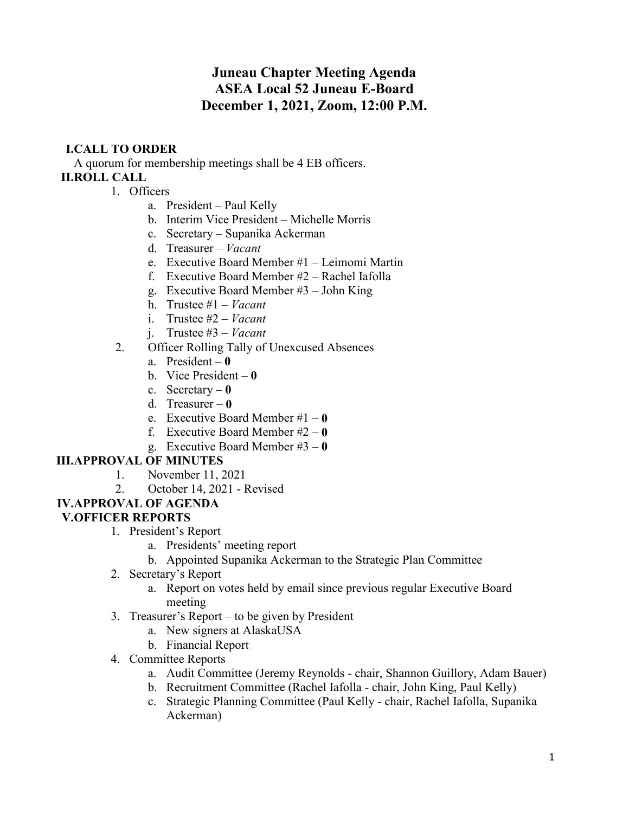# **Juneau Chapter Meeting Agenda ASEA Local 52 Juneau E-Board December 1, 2021, Zoom, 12:00 P.M.**

## **I.CALL TO ORDER**

A quorum for membership meetings shall be 4 EB officers. **II.ROLL CALL**

- 1. Officers
	- a. President Paul Kelly
	- b. Interim Vice President Michelle Morris
	- c. Secretary Supanika Ackerman
	- d. Treasurer *Vacant*
	- e. Executive Board Member #1 Leimomi Martin
	- f. Executive Board Member #2 Rachel Iafolla
	- g. Executive Board Member #3 John King
	- h. Trustee #1 *Vacant*
	- i. Trustee #2 *Vacant*
	- j. Trustee #3 *Vacant*
- 2. Officer Rolling Tally of Unexcused Absences
	- a. President **0**
	- b. Vice President **0**
	- c. Secretary **0**
	- d. Treasurer **0**
	- e. Executive Board Member #1 **0**
	- f. Executive Board Member #2 **0**
	- g. Executive Board Member #3 **0**

#### **III.APPROVAL OF MINUTES**

- 1. November 11, 2021
- 2. October 14, 2021 Revised

# **IV.APPROVAL OF AGENDA**

## **V.OFFICER REPORTS**

- 1. President's Report
	- a. Presidents' meeting report
	- b. Appointed Supanika Ackerman to the Strategic Plan Committee
- 2. Secretary's Report
	- a. Report on votes held by email since previous regular Executive Board meeting
- 3. Treasurer's Report to be given by President
	- a. New signers at AlaskaUSA
	- b. Financial Report
- 4. Committee Reports
	- a. Audit Committee (Jeremy Reynolds chair, Shannon Guillory, Adam Bauer)
	- b. Recruitment Committee (Rachel Iafolla chair, John King, Paul Kelly)
	- c. Strategic Planning Committee (Paul Kelly chair, Rachel Iafolla, Supanika Ackerman)